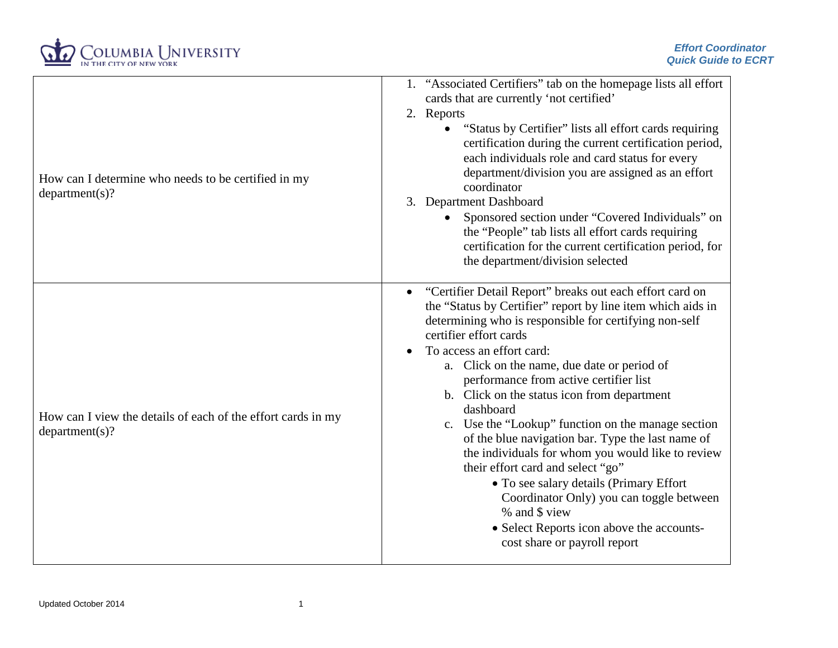

| How can I determine who needs to be certified in my<br>department(s)?          | 1. "Associated Certifiers" tab on the homepage lists all effort<br>cards that are currently 'not certified'<br>2. Reports<br>"Status by Certifier" lists all effort cards requiring<br>certification during the current certification period,<br>each individuals role and card status for every<br>department/division you are assigned as an effort<br>coordinator<br>3. Department Dashboard<br>• Sponsored section under "Covered Individuals" on<br>the "People" tab lists all effort cards requiring<br>certification for the current certification period, for<br>the department/division selected                                                                                                                                                                               |
|--------------------------------------------------------------------------------|-----------------------------------------------------------------------------------------------------------------------------------------------------------------------------------------------------------------------------------------------------------------------------------------------------------------------------------------------------------------------------------------------------------------------------------------------------------------------------------------------------------------------------------------------------------------------------------------------------------------------------------------------------------------------------------------------------------------------------------------------------------------------------------------|
| How can I view the details of each of the effort cards in my<br>department(s)? | "Certifier Detail Report" breaks out each effort card on<br>the "Status by Certifier" report by line item which aids in<br>determining who is responsible for certifying non-self<br>certifier effort cards<br>To access an effort card:<br>a. Click on the name, due date or period of<br>performance from active certifier list<br>b. Click on the status icon from department<br>dashboard<br>c. Use the "Lookup" function on the manage section<br>of the blue navigation bar. Type the last name of<br>the individuals for whom you would like to review<br>their effort card and select "go"<br>• To see salary details (Primary Effort<br>Coordinator Only) you can toggle between<br>% and \$ view<br>• Select Reports icon above the accounts-<br>cost share or payroll report |